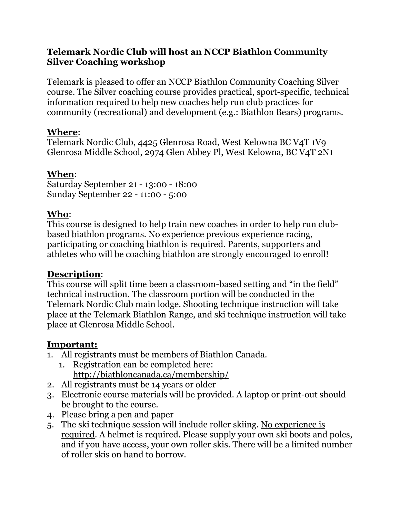#### **Telemark Nordic Club will host an NCCP Biathlon Community Silver Coaching workshop**

Telemark is pleased to offer an NCCP Biathlon Community Coaching Silver course. The Silver coaching course provides practical, sport-specific, technical information required to help new coaches help run club practices for community (recreational) and development (e.g.: Biathlon Bears) programs.

## **Where**:

Telemark Nordic Club, 4425 Glenrosa Road, West Kelowna BC V4T 1V9 Glenrosa Middle School, 2974 Glen Abbey Pl, West Kelowna, BC V4T 2N1

# **When**:

Saturday September 21 - 13:00 - 18:00 Sunday September 22 - 11:00 - 5:00

# **Who**:

This course is designed to help train new coaches in order to help run clubbased biathlon programs. No experience previous experience racing, participating or coaching biathlon is required. Parents, supporters and athletes who will be coaching biathlon are strongly encouraged to enroll!

## **Description**:

This course will split time been a classroom-based setting and "in the field" technical instruction. The classroom portion will be conducted in the Telemark Nordic Club main lodge. Shooting technique instruction will take place at the Telemark Biathlon Range, and ski technique instruction will take place at Glenrosa Middle School.

## **Important:**

- 1. All registrants must be members of Biathlon Canada.
	- 1. Registration can be completed here: <http://biathloncanada.ca/membership/>
- 2. All registrants must be 14 years or older
- 3. Electronic course materials will be provided. A laptop or print-out should be brought to the course.
- 4. Please bring a pen and paper
- 5. The ski technique session will include roller skiing. No experience is required. A helmet is required. Please supply your own ski boots and poles, and if you have access, your own roller skis. There will be a limited number of roller skis on hand to borrow.